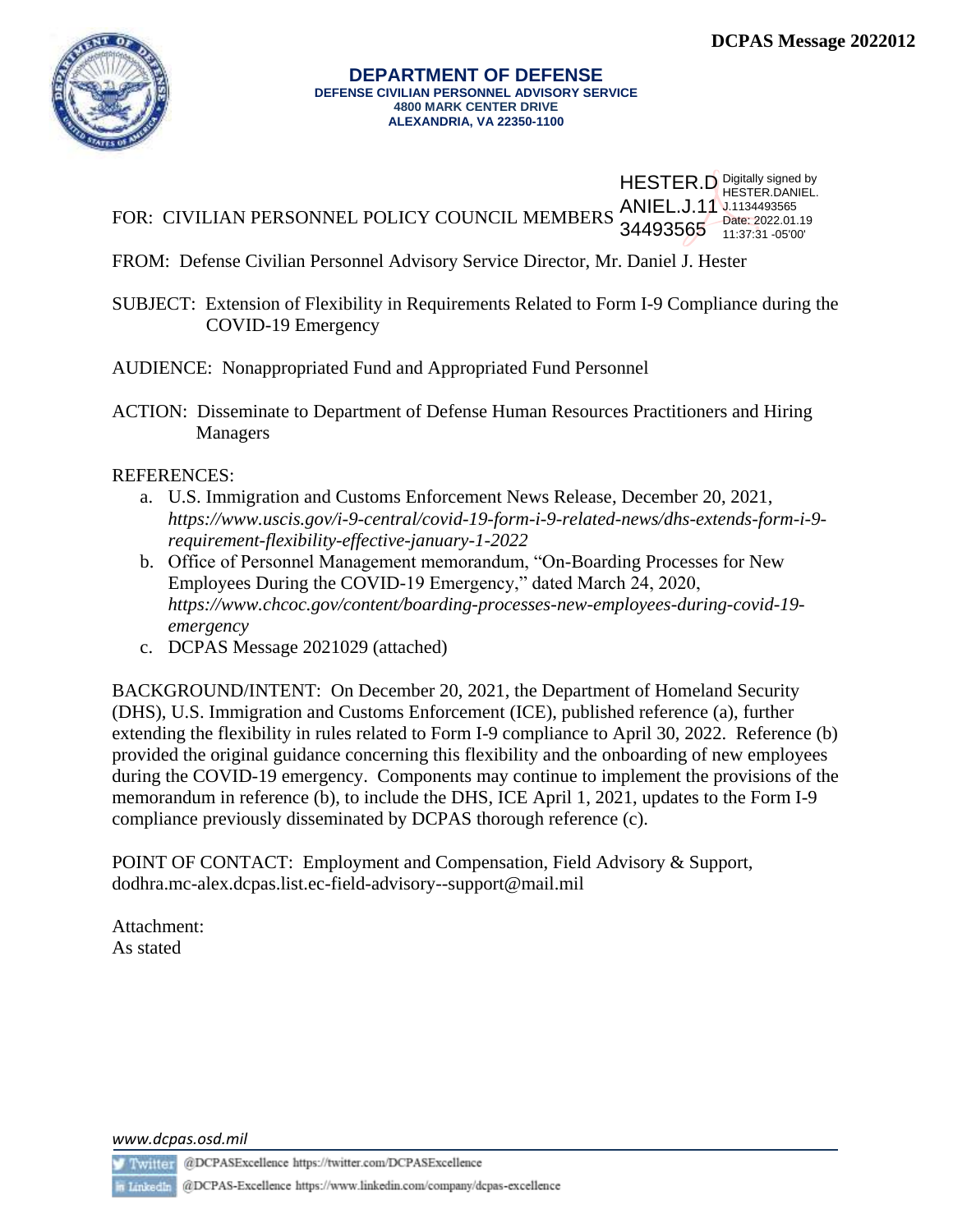

## **DEPARTMENT OF DEFENSE DEFENSE CIVILIAN PERSONNEL ADVISORY SERVICE 4800 MARK CENTER DRIVE ALEXANDRIA, VA 22350-1100**

|                                                                                                     | <b>HESTER.D</b> Digitally signed by |
|-----------------------------------------------------------------------------------------------------|-------------------------------------|
| FOR: CIVILIAN PERSONNEL POLICY COUNCIL MEMBERS ANIEL.J.11 1.1134493565<br>34493565 11:37:31 -05'00' |                                     |

FROM: Defense Civilian Personnel Advisory Service Director, Mr. Daniel J. Hester

SUBJECT: Extension of Flexibility in Requirements Related to Form I-9 Compliance during the COVID-19 Emergency

AUDIENCE: Nonappropriated Fund and Appropriated Fund Personnel

ACTION: Disseminate to Department of Defense Human Resources Practitioners and Hiring Managers

REFERENCES:

- a. U.S. Immigration and Customs Enforcement News Release, December 20, 2021, *https://www.uscis.gov/i-9-central/covid-19-form-i-9-related-news/dhs-extends-form-i-9 requirement-flexibility-effective-january-1-2022*
- b. Office of Personnel Management memorandum, "On-Boarding Processes for New Employees During the COVID-19 Emergency," dated March 24, 2020, *[https://www.chcoc.gov/content/boarding-processes-new-employees-during-covid-19](https://www.chcoc.gov/content/boarding-processes-new-employees-during-covid-19-emergency) [emergency](https://www.chcoc.gov/content/boarding-processes-new-employees-during-covid-19-emergency)*
- c. DCPAS Message 2021029 (attached)

BACKGROUND/INTENT: On December 20, 2021, the Department of Homeland Security (DHS), U.S. Immigration and Customs Enforcement (ICE), published reference (a), further extending the flexibility in rules related to Form I-9 compliance to April 30, 2022. Reference (b) provided the original guidance concerning this flexibility and the onboarding of new employees during the COVID-19 emergency. Components may continue to implement the provisions of the memorandum in reference (b), to include the DHS, ICE April 1, 2021, updates to the Form I-9 compliance previously disseminated by DCPAS thorough reference (c).

POINT OF CONTACT: Employment and Compensation, Field Advisory & Support, dodhra.mc-alex.dcpas.list.ec-field-advisory--support@mail.mil

Attachment: As stated

*www.dcpas.osd.mil*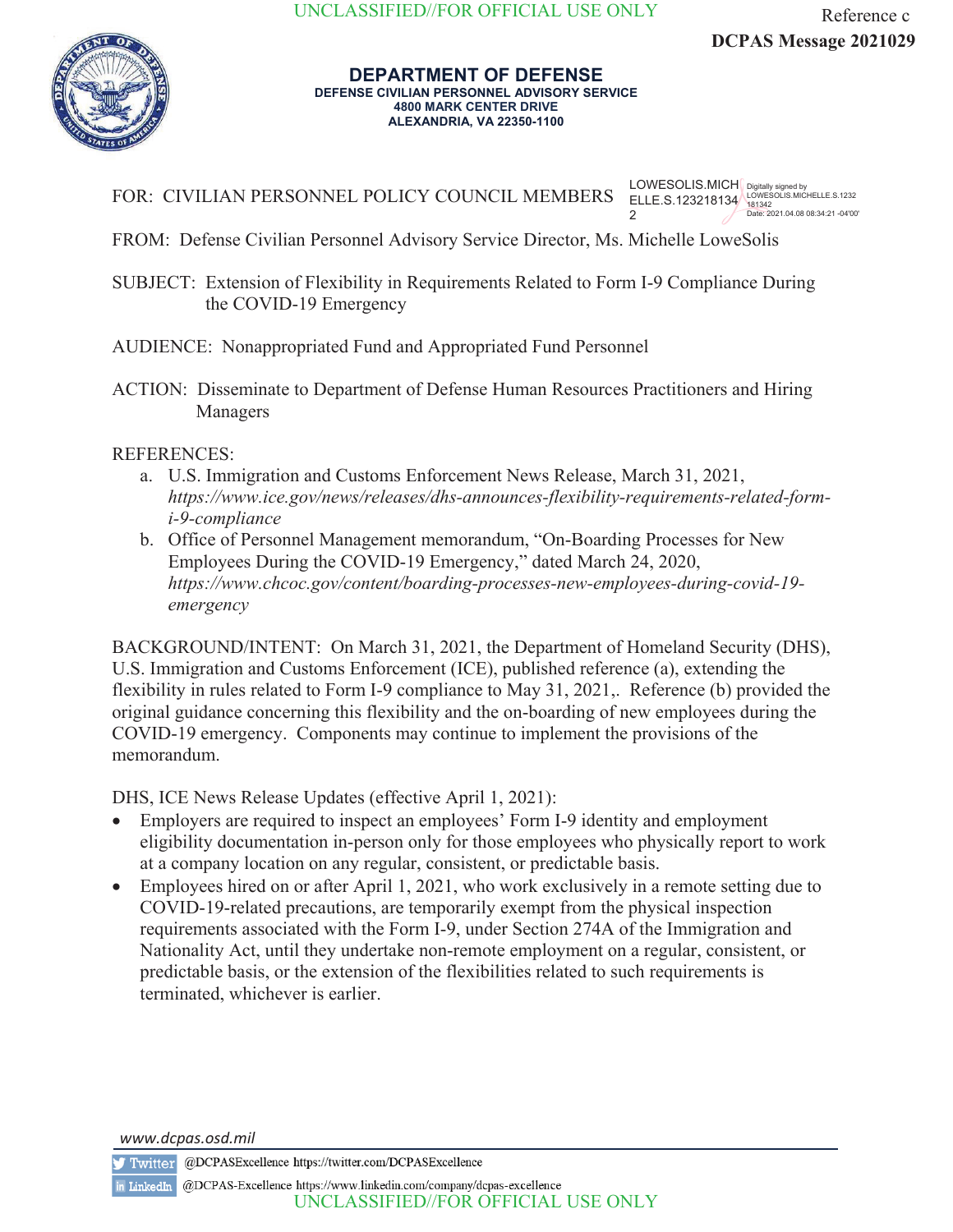

## **DEPARTMENT OF DEFENSE DEFENSE CIVILIAN PERSONNEL ADVISORY SERVICE 4800 MARK CENTER DRIVE ALEXANDRIA, VA 22350-1100**

FOR: CIVILIAN PERSONNEL POLICY COUNCIL MEMBERS LOWESOLIS.MICH ELLE.S.123218134 2 Digitally signed by LOWESOLIS.MICHELLE.S.1232 181342 Date: 2021.04.08 08:34:21 -04'00'

FROM: Defense Civilian Personnel Advisory Service Director, Ms. Michelle LoweSolis

SUBJECT: Extension of Flexibility in Requirements Related to Form I-9 Compliance During the COVID-19 Emergency

AUDIENCE: Nonappropriated Fund and Appropriated Fund Personnel

ACTION: Disseminate to Department of Defense Human Resources Practitioners and Hiring Managers

## REFERENCES:

- a. U.S. Immigration and Customs Enforcement News Release, March 31, 2021, *https://www.ice.gov/news/releases/dhs-announces-flexibility-requirements-related-formi-9-compliance*
- b. Office of Personnel Management memorandum, "On-Boarding Processes for New Employees During the COVID-19 Emergency," dated March 24, 2020, *https://www.chcoc.gov/content/boarding-processes-new-employees-during-covid-19 emergency*

BACKGROUND/INTENT: On March 31, 2021, the Department of Homeland Security (DHS), U.S. Immigration and Customs Enforcement (ICE), published reference (a), extending the flexibility in rules related to Form I-9 compliance to May 31, 2021,. Reference (b) provided the original guidance concerning this flexibility and the on-boarding of new employees during the COVID-19 emergency. Components may continue to implement the provisions of the memorandum.

DHS, ICE News Release Updates (effective April 1, 2021):

- Employers are required to inspect an employees' Form I-9 identity and employment eligibility documentation in-person only for those employees who physically report to work at a company location on any regular, consistent, or predictable basis.
- Employees hired on or after April 1, 2021, who work exclusively in a remote setting due to COVID-19-related precautions, are temporarily exempt from the physical inspection requirements associated with the Form I-9, under Section 274A of the Immigration and Nationality Act, until they undertake non-remote employment on a regular, consistent, or predictable basis, or the extension of the flexibilities related to such requirements is terminated, whichever is earlier.

*www.dcpas.osd.mil*